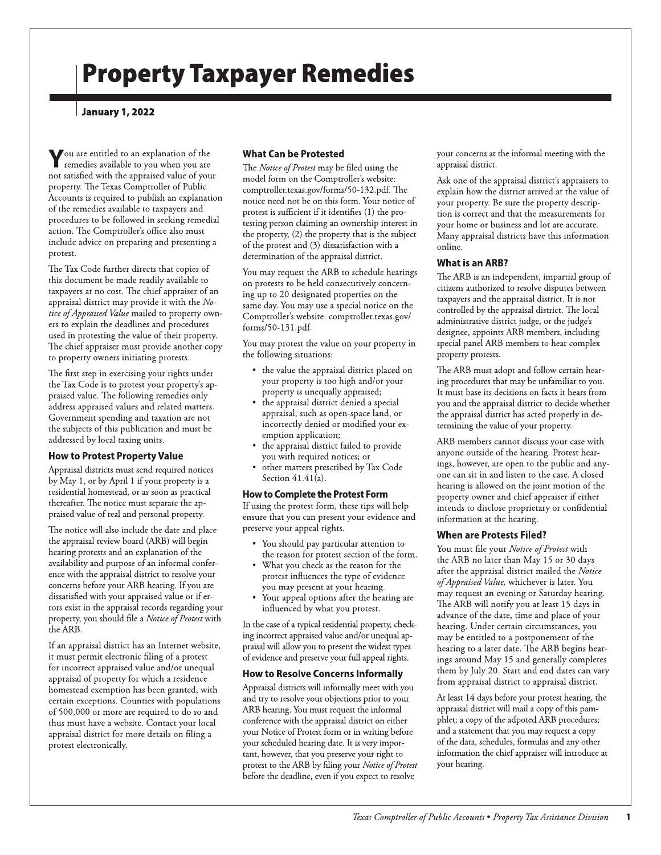## January 1, 2022

You are entitled to an explanation of the<br>remedies available to you when you are<br>not satisfied with the appraised value of your remedies available to you when you are property. The Texas Comptroller of Public Accounts is required to publish an explanation of the remedies available to taxpayers and procedures to be followed in seeking remedial action. The Comptroller's office also must include advice on preparing and presenting a protest.

The Tax Code further directs that copies of this document be made readily available to taxpayers at no cost. The chief appraiser of an appraisal district may provide it with the Notice of Appraised Value mailed to property owners to explain the deadlines and procedures used in protesting the value of their property. The chief appraiser must provide another copy to property owners initiating protests.

The first step in exercising your rights under the Tax Code is to protest your property's appraised value. The following remedies only address appraised values and related matters. Government spending and taxation are not the subjects of this publication and must be addressed by local taxing units.

## How to Protest Property Value

Appraisal districts must send required notices by May 1, or by April 1 if your property is a residential homestead, or as soon as practical thereafter. The notice must separate the appraised value of real and personal property.

The notice will also include the date and place the appraisal review board (ARB) will begin hearing protests and an explanation of the availability and purpose of an informal conference with the appraisal district to resolve your concerns before your ARB hearing. If you are dissatisfied with your appraised value or if errors exist in the appraisal records regarding your property, you should file a *Notice of Protest* with the ARB.

If an appraisal district has an Internet website, it must permit electronic filing of a protest for incorrect appraised value and/or unequal appraisal of property for which a residence homestead exemption has been granted, with certain exceptions. Counties with populations of 500,000 or more are required to do so and thus must have a website. Contact your local appraisal district for more details on filing a protest electronically.

# **What Can be Protested**

**Property Taxpayer Remediate** where  $\frac{1}{2}$  and  $\frac{1}{2}$  and  $\frac{1}{2}$  and  $\frac{1}{2}$  and  $\frac{1}{2}$  and  $\frac{1}{2}$  and  $\frac{1}{2}$  and  $\frac{1}{2}$  and  $\frac{1}{2}$  and  $\frac{1}{2}$  and  $\frac{1}{2}$  and  $\frac{1}{2}$  and  $\frac{1}{2}$  and  $\frac$ The *Notice of Protest* may be filed using the model form on the Comptroller's website: comptroller.texas.gov/forms/50-132.pdf. The notice need not be on this form. Your notice of protest is sufficient if it identifies (1) the protesting person claiming an ownership interest in the property,  $(2)$  the property that is the subject of the protest and (3) dissatisfaction with a determination of the appraisal district.

You may request the ARB to schedule hearings on protests to be held consecutively concerning up to 20 designated properties on the same day. You may use a special notice on the Comptroller's website: comptroller.texas.gov/ forms/50-131.pdf.

You may protest the value on your property in the following situations:

- the value the appraisal district placed on your property is too high and/or your property is unequally appraised;
- the appraisal district denied a special appraisal, such as open-space land, or incorrectly denied or modified your exemption application;
- the appraisal district failed to provide you with required notices; or
- other matters prescribed by Tax Code Section  $41.41(a)$ .

### How to Complete the Protest Form

If using the protest form, these tips will help ensure that you can present your evidence and preserve your appeal rights.

- You should pay particular attention to the reason for protest section of the form.
- What you check as the reason for the protest influences the type of evidence you may present at your hearing.
- Your appeal options after the hearing are influenced by what you protest.

In the case of a typical residential property, checking incorrect appraised value and/or unequal appraisal will allow you to present the widest types of evidence and preserve your full appeal rights.

#### How to Resolve Concerns Informally

Appraisal districts will informally meet with you and try to resolve your objections prior to your ARB hearing. You must request the informal conference with the appraisal district on either your Notice of Protest form or in writing before your scheduled hearing date. It is very important, however, that you preserve your right to protest to the ARB by filing your *Notice of Protest* before the deadline, even if you expect to resolve

your concerns at the informal meeting with the appraisal district.

Ask one of the appraisal district's appraisers to explain how the district arrived at the value of your property. Be sure the property description is correct and that the measurements for your home or business and lot are accurate. Many appraisal districts have this information online.

#### What is an ARB?

The ARB is an independent, impartial group of citizens authorized to resolve disputes between taxpayers and the appraisal district. It is not controlled by the appraisal district. The local administrative district judge, or the judge's designee, appoints ARB members, including special panel ARB members to hear complex property protests.

The ARB must adopt and follow certain hearing procedures that may be unfamiliar to you. It must base its decisions on facts it hears from you and the appraisal district to decide whether the appraisal district has acted properly in determining the value of your property.

ARB members cannot discuss your case with anyone outside of the hearing. Protest hearings, however, are open to the public and anyone can sit in and listen to the case. A closed hearing is allowed on the joint motion of the property owner and chief appraiser if either intends to disclose proprietary or confidential information at the hearing.

#### When are Protests Filed?

You must file your *Notice of Protest* with the ARB no later than May 15 or 30 days after the appraisal district mailed the *Notice of Appraised Value,* whichever is later. You may request an evening or Saturday hearing. The ARB will notify you at least 15 days in advance of the date, time and place of your hearing. Under certain circumstances, you may be entitled to a postponement of the hearing to a later date. The ARB begins hearings around May 15 and generally completes them by July 20. Start and end dates can vary from appraisal district to appraisal district.

At least 14 days before your protest hearing, the appraisal district will mail a copy of this pamphlet; a copy of the adpoted ARB procedures; and a statement that you may request a copy of the data, schedules, formulas and any other information the chief appraiser will introduce at your hearing.